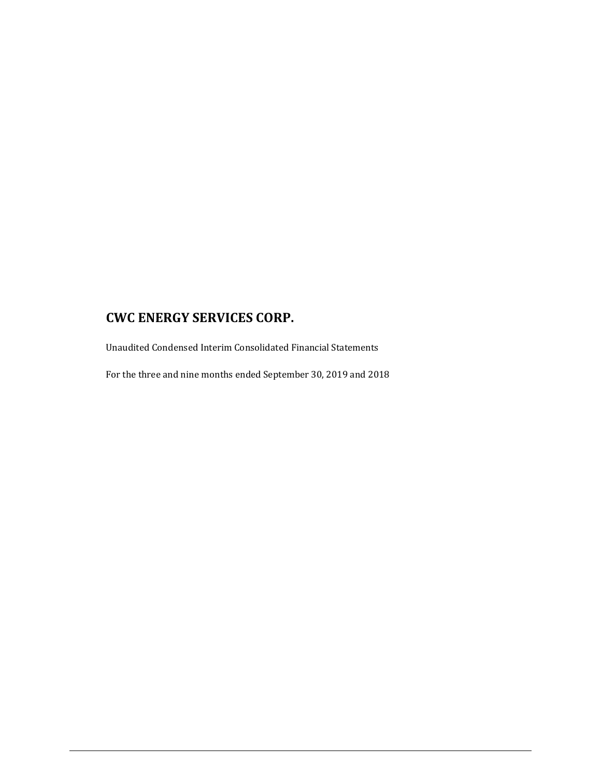Unaudited Condensed Interim Consolidated Financial Statements

For the three and nine months ended September 30, 2019 and 2018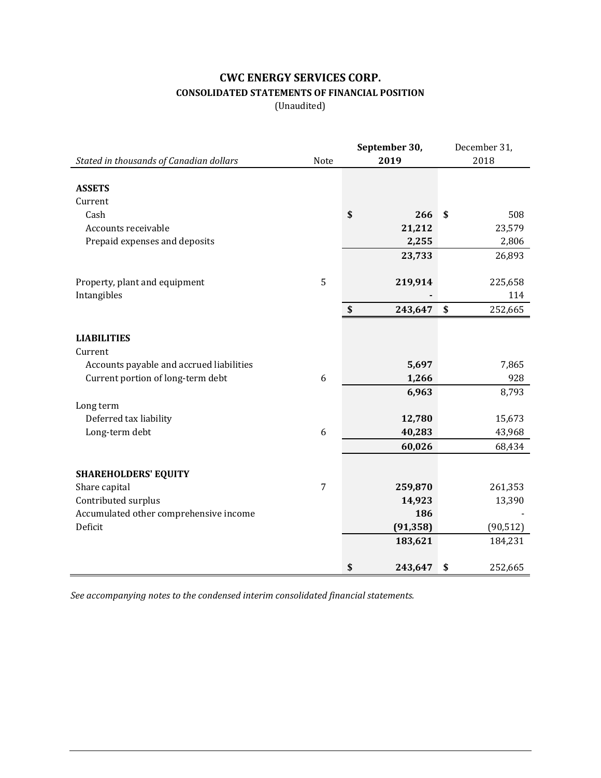## **CWC ENERGY SERVICES CORP. CONSOLIDATED STATEMENTS OF FINANCIAL POSITION**

(Unaudited)

|                                          | September 30, |    |           |      | December 31, |  |
|------------------------------------------|---------------|----|-----------|------|--------------|--|
| Stated in thousands of Canadian dollars  | Note          |    | 2019      | 2018 |              |  |
|                                          |               |    |           |      |              |  |
| <b>ASSETS</b>                            |               |    |           |      |              |  |
| Current                                  |               |    |           |      |              |  |
| Cash                                     |               | \$ | 266       | \$   | 508          |  |
| Accounts receivable                      |               |    | 21,212    |      | 23,579       |  |
| Prepaid expenses and deposits            |               |    | 2,255     |      | 2,806        |  |
|                                          |               |    | 23,733    |      | 26,893       |  |
|                                          |               |    |           |      |              |  |
| Property, plant and equipment            | 5             |    | 219,914   |      | 225,658      |  |
| Intangibles                              |               |    |           |      | 114          |  |
|                                          |               | \$ | 243,647   | \$   | 252,665      |  |
|                                          |               |    |           |      |              |  |
| <b>LIABILITIES</b>                       |               |    |           |      |              |  |
| Current                                  |               |    |           |      |              |  |
| Accounts payable and accrued liabilities |               |    | 5,697     |      | 7,865        |  |
| Current portion of long-term debt        | 6             |    | 1,266     |      | 928          |  |
|                                          |               |    | 6,963     |      | 8,793        |  |
| Long term                                |               |    |           |      |              |  |
| Deferred tax liability                   |               |    | 12,780    |      | 15,673       |  |
| Long-term debt                           | 6             |    | 40,283    |      | 43,968       |  |
|                                          |               |    | 60,026    |      | 68,434       |  |
|                                          |               |    |           |      |              |  |
| <b>SHAREHOLDERS' EQUITY</b>              |               |    |           |      |              |  |
| Share capital                            | 7             |    | 259,870   |      | 261,353      |  |
| Contributed surplus                      |               |    | 14,923    |      | 13,390       |  |
| Accumulated other comprehensive income   |               |    | 186       |      |              |  |
| Deficit                                  |               |    | (91, 358) |      | (90, 512)    |  |
|                                          |               |    | 183,621   |      | 184,231      |  |
|                                          |               |    |           |      |              |  |
|                                          |               | \$ | 243,647   | \$   | 252,665      |  |

*See accompanying notes to the condensed interim consolidated financial statements.*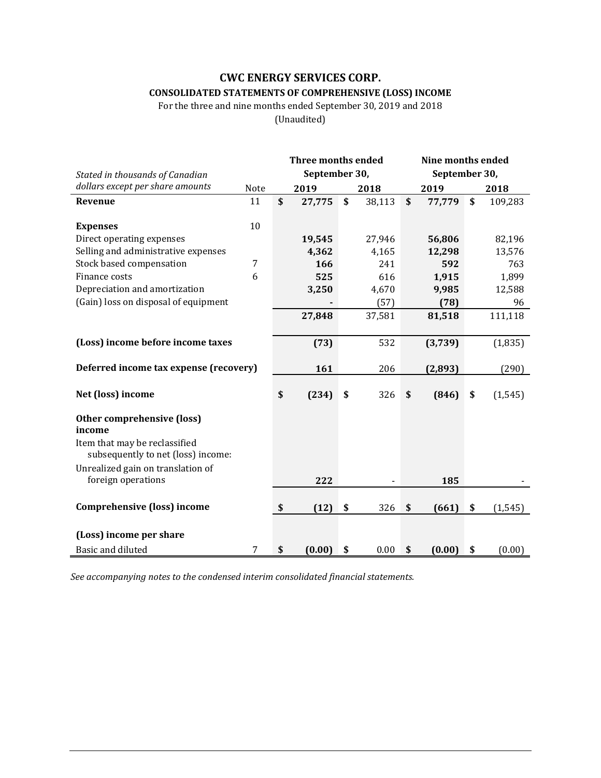## **CWC ENERGY SERVICES CORP. CONSOLIDATED STATEMENTS OF COMPREHENSIVE (LOSS) INCOME**

## For the three and nine months ended September 30, 2019 and 2018

(Unaudited)

|                                        |      | <b>Three months ended</b> |               |    |        |    | Nine months ended |    |          |  |
|----------------------------------------|------|---------------------------|---------------|----|--------|----|-------------------|----|----------|--|
| Stated in thousands of Canadian        |      |                           | September 30, |    |        |    | September 30,     |    |          |  |
| dollars except per share amounts       | Note |                           | 2019          |    | 2018   |    | 2019              |    | 2018     |  |
| Revenue                                | 11   | \$                        | 27,775        | \$ | 38,113 | \$ | 77,779            | \$ | 109,283  |  |
|                                        |      |                           |               |    |        |    |                   |    |          |  |
| <b>Expenses</b>                        | 10   |                           |               |    |        |    |                   |    |          |  |
| Direct operating expenses              |      |                           | 19,545        |    | 27,946 |    | 56,806            |    | 82,196   |  |
| Selling and administrative expenses    |      |                           | 4,362         |    | 4,165  |    | 12,298            |    | 13,576   |  |
| Stock based compensation               | 7    |                           | 166           |    | 241    |    | 592               |    | 763      |  |
| Finance costs                          | 6    |                           | 525           |    | 616    |    | 1,915             |    | 1,899    |  |
| Depreciation and amortization          |      |                           | 3,250         |    | 4,670  |    | 9,985             |    | 12,588   |  |
| (Gain) loss on disposal of equipment   |      |                           |               |    | (57)   |    | (78)              |    | 96       |  |
|                                        |      |                           | 27,848        |    | 37,581 |    | 81,518            |    | 111,118  |  |
|                                        |      |                           |               |    |        |    |                   |    |          |  |
| (Loss) income before income taxes      |      |                           | (73)          |    | 532    |    | (3,739)           |    | (1, 835) |  |
|                                        |      |                           |               |    |        |    |                   |    |          |  |
| Deferred income tax expense (recovery) |      |                           | 161           |    | 206    |    | (2,893)           |    | (290)    |  |
|                                        |      |                           |               |    |        |    |                   |    |          |  |
| Net (loss) income                      |      | \$                        | (234)         | \$ | 326    | \$ | (846)             | \$ | (1, 545) |  |
|                                        |      |                           |               |    |        |    |                   |    |          |  |
| Other comprehensive (loss)             |      |                           |               |    |        |    |                   |    |          |  |
| income                                 |      |                           |               |    |        |    |                   |    |          |  |
| Item that may be reclassified          |      |                           |               |    |        |    |                   |    |          |  |
| subsequently to net (loss) income:     |      |                           |               |    |        |    |                   |    |          |  |
| Unrealized gain on translation of      |      |                           |               |    |        |    |                   |    |          |  |
| foreign operations                     |      |                           | 222           |    |        |    | 185               |    |          |  |
|                                        |      |                           |               |    |        |    |                   |    |          |  |
| <b>Comprehensive (loss) income</b>     |      | \$                        | (12)          | \$ | 326    | \$ | (661)             | \$ | (1, 545) |  |
|                                        |      |                           |               |    |        |    |                   |    |          |  |
| (Loss) income per share                |      |                           |               |    |        |    |                   |    |          |  |
| Basic and diluted                      | 7    | \$                        | (0.00)        | \$ | 0.00   | \$ | (0.00)            | \$ | (0.00)   |  |

*See accompanying notes to the condensed interim consolidated financial statements.*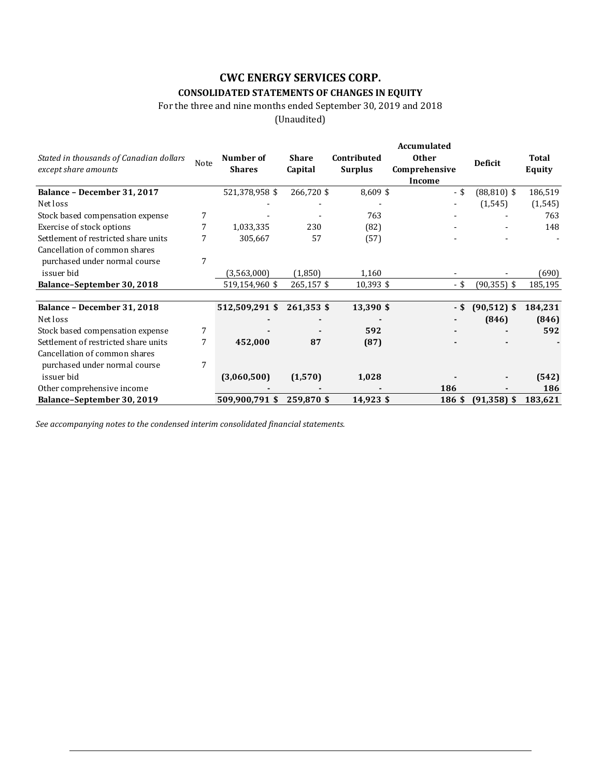## **CONSOLIDATED STATEMENTS OF CHANGES IN EQUITY**

For the three and nine months ended September 30, 2019 and 2018

(Unaudited)

|                                                                 |   |                                    |                         |                               | Accumulated                   |                |                 |
|-----------------------------------------------------------------|---|------------------------------------|-------------------------|-------------------------------|-------------------------------|----------------|-----------------|
| Stated in thousands of Canadian dollars<br>except share amounts |   | Number of<br>Note<br><b>Shares</b> | <b>Share</b><br>Capital | Contributed<br><b>Surplus</b> | <b>Other</b><br>Comprehensive | <b>Deficit</b> | Total<br>Equity |
|                                                                 |   |                                    |                         |                               | Income                        |                |                 |
| Balance - December 31, 2017                                     |   | 521,378,958 \$                     | 266,720 \$              | $8,609$ \$                    | $-$ \$                        | $(88, 810)$ \$ | 186,519         |
| Net loss                                                        |   |                                    |                         |                               |                               | (1, 545)       | (1, 545)        |
| Stock based compensation expense                                | 7 |                                    |                         | 763                           |                               |                | 763             |
| Exercise of stock options                                       |   | 1,033,335                          | 230                     | (82)                          |                               |                | 148             |
| Settlement of restricted share units                            |   | 305,667                            | 57                      | (57)                          |                               |                |                 |
| Cancellation of common shares                                   |   |                                    |                         |                               |                               |                |                 |
| purchased under normal course                                   | 7 |                                    |                         |                               |                               |                |                 |
| issuer bid                                                      |   | (3,563,000)                        | (1,850)                 | 1,160                         |                               |                | (690)           |
| Balance-September 30, 2018                                      |   | 519,154,960 \$                     | 265,157 \$              | 10,393 \$                     | - \$                          | $(90, 355)$ \$ | 185,195         |
| Balance - December 31, 2018                                     |   | 512,509,291 \$                     | 261,353 \$              | 13,390 \$                     | - \$                          | $(90, 512)$ \$ | 184,231         |
| Net loss                                                        |   |                                    |                         |                               |                               | (846)          | (846)           |
| Stock based compensation expense                                | 7 |                                    |                         | 592                           |                               |                | 592             |
| Settlement of restricted share units                            | 7 | 452,000                            | 87                      | (87)                          |                               |                |                 |
| Cancellation of common shares                                   |   |                                    |                         |                               |                               |                |                 |
| purchased under normal course                                   | 7 |                                    |                         |                               |                               |                |                 |
| issuer bid                                                      |   | (3,060,500)                        | (1,570)                 | 1,028                         |                               |                | (542)           |
| Other comprehensive income                                      |   |                                    |                         |                               | 186                           |                | 186             |
|                                                                 |   |                                    | 259,870 \$              |                               | 186 \$                        | $(91, 358)$ \$ | 183,621         |
| Balance-September 30, 2019                                      |   | 509,900,791 \$                     |                         | 14,923 \$                     |                               |                |                 |

*See accompanying notes to the condensed interim consolidated financial statements.*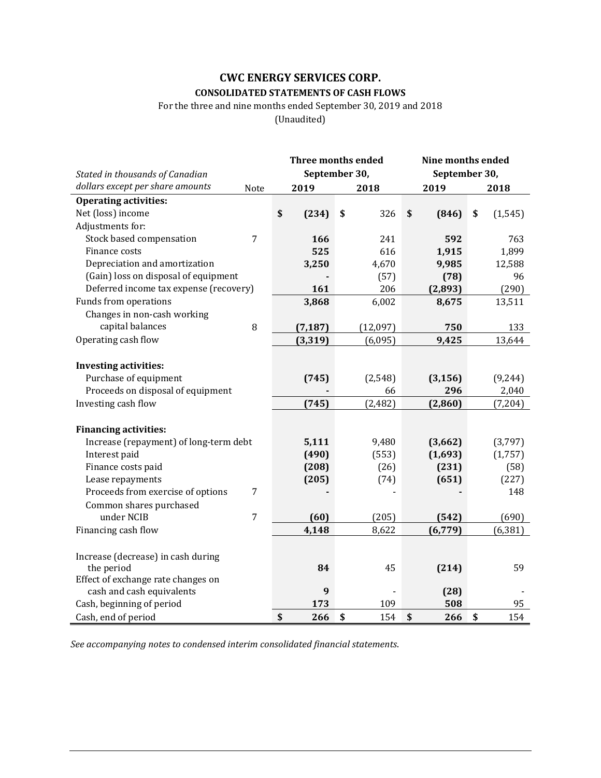## **CWC ENERGY SERVICES CORP. CONSOLIDATED STATEMENTS OF CASH FLOWS**

For the three and nine months ended September 30, 2019 and 2018

(Unaudited)

| September 30,<br>September 30,<br>Stated in thousands of Canadian<br>dollars except per share amounts<br>Note<br>2019<br>2019<br>2018<br>2018<br><b>Operating activities:</b><br>Net (loss) income<br>\$<br>(234)<br>\$<br>326<br>\$<br>(846)<br>\$<br>(1, 545)<br>Adjustments for:<br>Stock based compensation<br>7<br>166<br>241<br>592<br>763<br>Finance costs<br>525<br>616<br>1,915<br>1,899<br>Depreciation and amortization<br>4,670<br>3,250<br>9,985<br>12,588<br>(Gain) loss on disposal of equipment<br>96<br>(57)<br>(78)<br>Deferred income tax expense (recovery)<br>161<br>206<br>(2, 893)<br>(290)<br>Funds from operations<br>6,002<br>3,868<br>8,675<br>13,511<br>Changes in non-cash working<br>capital balances<br>8<br>(7, 187)<br>(12,097)<br>750<br>133<br>Operating cash flow<br>(3, 319)<br>9,425<br>13,644<br>(6,095) |                              | Three months ended | Nine months ended |  |  |  |  |
|-------------------------------------------------------------------------------------------------------------------------------------------------------------------------------------------------------------------------------------------------------------------------------------------------------------------------------------------------------------------------------------------------------------------------------------------------------------------------------------------------------------------------------------------------------------------------------------------------------------------------------------------------------------------------------------------------------------------------------------------------------------------------------------------------------------------------------------------------|------------------------------|--------------------|-------------------|--|--|--|--|
|                                                                                                                                                                                                                                                                                                                                                                                                                                                                                                                                                                                                                                                                                                                                                                                                                                                 |                              |                    |                   |  |  |  |  |
|                                                                                                                                                                                                                                                                                                                                                                                                                                                                                                                                                                                                                                                                                                                                                                                                                                                 |                              |                    |                   |  |  |  |  |
|                                                                                                                                                                                                                                                                                                                                                                                                                                                                                                                                                                                                                                                                                                                                                                                                                                                 |                              |                    |                   |  |  |  |  |
|                                                                                                                                                                                                                                                                                                                                                                                                                                                                                                                                                                                                                                                                                                                                                                                                                                                 |                              |                    |                   |  |  |  |  |
|                                                                                                                                                                                                                                                                                                                                                                                                                                                                                                                                                                                                                                                                                                                                                                                                                                                 |                              |                    |                   |  |  |  |  |
|                                                                                                                                                                                                                                                                                                                                                                                                                                                                                                                                                                                                                                                                                                                                                                                                                                                 |                              |                    |                   |  |  |  |  |
|                                                                                                                                                                                                                                                                                                                                                                                                                                                                                                                                                                                                                                                                                                                                                                                                                                                 |                              |                    |                   |  |  |  |  |
|                                                                                                                                                                                                                                                                                                                                                                                                                                                                                                                                                                                                                                                                                                                                                                                                                                                 |                              |                    |                   |  |  |  |  |
|                                                                                                                                                                                                                                                                                                                                                                                                                                                                                                                                                                                                                                                                                                                                                                                                                                                 |                              |                    |                   |  |  |  |  |
|                                                                                                                                                                                                                                                                                                                                                                                                                                                                                                                                                                                                                                                                                                                                                                                                                                                 |                              |                    |                   |  |  |  |  |
|                                                                                                                                                                                                                                                                                                                                                                                                                                                                                                                                                                                                                                                                                                                                                                                                                                                 |                              |                    |                   |  |  |  |  |
|                                                                                                                                                                                                                                                                                                                                                                                                                                                                                                                                                                                                                                                                                                                                                                                                                                                 |                              |                    |                   |  |  |  |  |
|                                                                                                                                                                                                                                                                                                                                                                                                                                                                                                                                                                                                                                                                                                                                                                                                                                                 |                              |                    |                   |  |  |  |  |
|                                                                                                                                                                                                                                                                                                                                                                                                                                                                                                                                                                                                                                                                                                                                                                                                                                                 |                              |                    |                   |  |  |  |  |
|                                                                                                                                                                                                                                                                                                                                                                                                                                                                                                                                                                                                                                                                                                                                                                                                                                                 |                              |                    |                   |  |  |  |  |
|                                                                                                                                                                                                                                                                                                                                                                                                                                                                                                                                                                                                                                                                                                                                                                                                                                                 | <b>Investing activities:</b> |                    |                   |  |  |  |  |
| Purchase of equipment<br>(2, 548)<br>(3, 156)<br>(9, 244)<br>(745)                                                                                                                                                                                                                                                                                                                                                                                                                                                                                                                                                                                                                                                                                                                                                                              |                              |                    |                   |  |  |  |  |
| Proceeds on disposal of equipment<br>296<br>2,040<br>66                                                                                                                                                                                                                                                                                                                                                                                                                                                                                                                                                                                                                                                                                                                                                                                         |                              |                    |                   |  |  |  |  |
| Investing cash flow<br>(2,482)<br>(745)<br>(2,860)<br>(7,204)                                                                                                                                                                                                                                                                                                                                                                                                                                                                                                                                                                                                                                                                                                                                                                                   |                              |                    |                   |  |  |  |  |
|                                                                                                                                                                                                                                                                                                                                                                                                                                                                                                                                                                                                                                                                                                                                                                                                                                                 |                              |                    |                   |  |  |  |  |
| <b>Financing activities:</b>                                                                                                                                                                                                                                                                                                                                                                                                                                                                                                                                                                                                                                                                                                                                                                                                                    |                              |                    |                   |  |  |  |  |
| Increase (repayment) of long-term debt<br>5,111<br>9,480<br>(3,662)<br>(3,797)                                                                                                                                                                                                                                                                                                                                                                                                                                                                                                                                                                                                                                                                                                                                                                  |                              |                    |                   |  |  |  |  |
| Interest paid<br>(490)<br>(553)<br>(1,693)<br>(1,757)                                                                                                                                                                                                                                                                                                                                                                                                                                                                                                                                                                                                                                                                                                                                                                                           |                              |                    |                   |  |  |  |  |
| Finance costs paid<br>(231)<br>(58)<br>(208)<br>(26)                                                                                                                                                                                                                                                                                                                                                                                                                                                                                                                                                                                                                                                                                                                                                                                            |                              |                    |                   |  |  |  |  |
| Lease repayments<br>(205)<br>(651)<br>(227)<br>(74)                                                                                                                                                                                                                                                                                                                                                                                                                                                                                                                                                                                                                                                                                                                                                                                             |                              |                    |                   |  |  |  |  |
| Proceeds from exercise of options<br>$\overline{7}$<br>148                                                                                                                                                                                                                                                                                                                                                                                                                                                                                                                                                                                                                                                                                                                                                                                      |                              |                    |                   |  |  |  |  |
| Common shares purchased                                                                                                                                                                                                                                                                                                                                                                                                                                                                                                                                                                                                                                                                                                                                                                                                                         |                              |                    |                   |  |  |  |  |
| $\overline{7}$<br>under NCIB<br>(60)<br>(205)<br>(542)<br>(690)                                                                                                                                                                                                                                                                                                                                                                                                                                                                                                                                                                                                                                                                                                                                                                                 |                              |                    |                   |  |  |  |  |
| 4,148<br>8,622<br>(6, 381)<br>Financing cash flow<br>(6, 779)                                                                                                                                                                                                                                                                                                                                                                                                                                                                                                                                                                                                                                                                                                                                                                                   |                              |                    |                   |  |  |  |  |
|                                                                                                                                                                                                                                                                                                                                                                                                                                                                                                                                                                                                                                                                                                                                                                                                                                                 |                              |                    |                   |  |  |  |  |
| Increase (decrease) in cash during<br>59<br>the period<br>84<br>45<br>(214)                                                                                                                                                                                                                                                                                                                                                                                                                                                                                                                                                                                                                                                                                                                                                                     |                              |                    |                   |  |  |  |  |
| Effect of exchange rate changes on                                                                                                                                                                                                                                                                                                                                                                                                                                                                                                                                                                                                                                                                                                                                                                                                              |                              |                    |                   |  |  |  |  |
| cash and cash equivalents<br>9<br>(28)                                                                                                                                                                                                                                                                                                                                                                                                                                                                                                                                                                                                                                                                                                                                                                                                          |                              |                    |                   |  |  |  |  |
| Cash, beginning of period<br>173<br>109<br>508<br>95                                                                                                                                                                                                                                                                                                                                                                                                                                                                                                                                                                                                                                                                                                                                                                                            |                              |                    |                   |  |  |  |  |
| Cash, end of period<br>\$<br>266<br>\$<br>154<br>\$<br>266<br>\$<br>154                                                                                                                                                                                                                                                                                                                                                                                                                                                                                                                                                                                                                                                                                                                                                                         |                              |                    |                   |  |  |  |  |

*See accompanying notes to condensed interim consolidated financial statements*.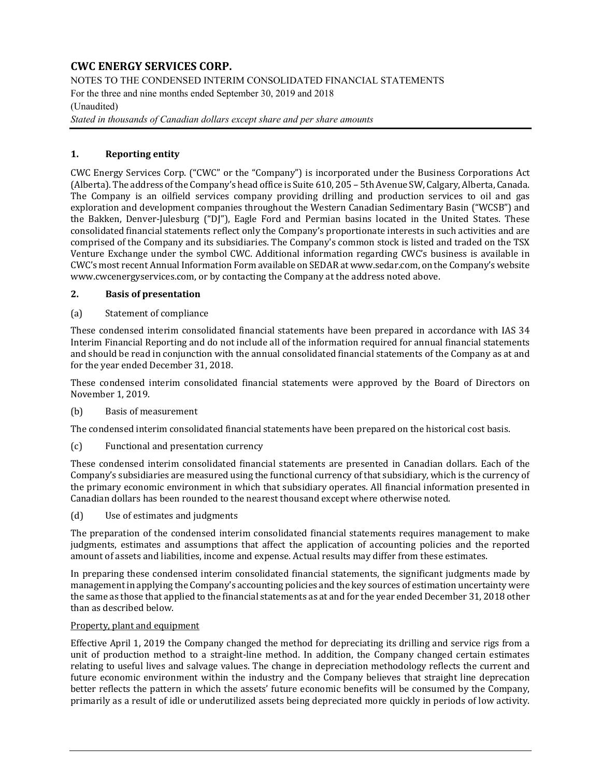NOTES TO THE CONDENSED INTERIM CONSOLIDATED FINANCIAL STATEMENTS For the three and nine months ended September 30, 2019 and 2018

### (Unaudited)

*Stated in thousands of Canadian dollars except share and per share amounts* 

### **1. Reporting entity**

CWC Energy Services Corp. ("CWC" or the "Company") is incorporated under the Business Corporations Act (Alberta). The address of the Company's head office is Suite 610, 205 – 5th Avenue SW, Calgary, Alberta, Canada. The Company is an oilfield services company providing drilling and production services to oil and gas exploration and development companies throughout the Western Canadian Sedimentary Basin ("WCSB") and the Bakken, Denver-Julesburg ("DJ"), Eagle Ford and Permian basins located in the United States. These consolidated financial statements reflect only the Company's proportionate interests in such activities and are comprised of the Company and its subsidiaries. The Company's common stock is listed and traded on the TSX Venture Exchange under the symbol CWC. Additional information regarding CWC's business is available in CWC's most recent Annual Information Form available on SEDAR at www.sedar.com, on the Company's website www.cwcenergyservices.com, or by contacting the Company at the address noted above.

#### **2. Basis of presentation**

#### (a) Statement of compliance

These condensed interim consolidated financial statements have been prepared in accordance with IAS 34 Interim Financial Reporting and do not include all of the information required for annual financial statements and should be read in conjunction with the annual consolidated financial statements of the Company as at and for the year ended December 31, 2018.

These condensed interim consolidated financial statements were approved by the Board of Directors on November 1, 2019.

#### (b) Basis of measurement

The condensed interim consolidated financial statements have been prepared on the historical cost basis.

(c) Functional and presentation currency

These condensed interim consolidated financial statements are presented in Canadian dollars. Each of the Company's subsidiaries are measured using the functional currency of that subsidiary, which is the currency of the primary economic environment in which that subsidiary operates. All financial information presented in Canadian dollars has been rounded to the nearest thousand except where otherwise noted.

(d) Use of estimates and judgments

The preparation of the condensed interim consolidated financial statements requires management to make judgments, estimates and assumptions that affect the application of accounting policies and the reported amount of assets and liabilities, income and expense. Actual results may differ from these estimates.

In preparing these condensed interim consolidated financial statements, the significant judgments made by management in applying the Company's accounting policies and the key sources of estimation uncertainty were the same as those that applied to the financial statements as at and for the year ended December 31, 2018 other than as described below.

#### Property, plant and equipment

Effective April 1, 2019 the Company changed the method for depreciating its drilling and service rigs from a unit of production method to a straight-line method. In addition, the Company changed certain estimates relating to useful lives and salvage values. The change in depreciation methodology reflects the current and future economic environment within the industry and the Company believes that straight line deprecation better reflects the pattern in which the assets' future economic benefits will be consumed by the Company, primarily as a result of idle or underutilized assets being depreciated more quickly in periods of low activity.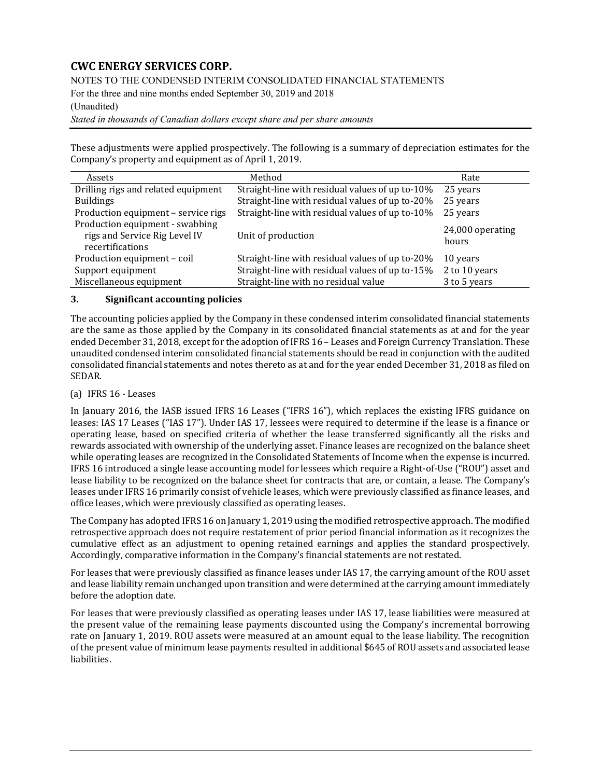NOTES TO THE CONDENSED INTERIM CONSOLIDATED FINANCIAL STATEMENTS

For the three and nine months ended September 30, 2019 and 2018

#### (Unaudited)

*Stated in thousands of Canadian dollars except share and per share amounts* 

These adjustments were applied prospectively. The following is a summary of depreciation estimates for the Company's property and equipment as of April 1, 2019.

| Assets                                                                               | Method                                          | Rate                      |
|--------------------------------------------------------------------------------------|-------------------------------------------------|---------------------------|
| Drilling rigs and related equipment                                                  | Straight-line with residual values of up to-10% | 25 years                  |
| <b>Buildings</b>                                                                     | Straight-line with residual values of up to-20% | 25 years                  |
| Production equipment - service rigs                                                  | Straight-line with residual values of up to-10% | 25 years                  |
| Production equipment - swabbing<br>rigs and Service Rig Level IV<br>recertifications | Unit of production                              | 24,000 operating<br>hours |
| Production equipment - coil                                                          | Straight-line with residual values of up to-20% | 10 years                  |
| Support equipment                                                                    | Straight-line with residual values of up to-15% | 2 to 10 years             |
| Miscellaneous equipment                                                              | Straight-line with no residual value            | 3 to 5 years              |

#### **3. Significant accounting policies**

The accounting policies applied by the Company in these condensed interim consolidated financial statements are the same as those applied by the Company in its consolidated financial statements as at and for the year ended December 31, 2018, except for the adoption of IFRS 16 – Leases and Foreign Currency Translation. These unaudited condensed interim consolidated financial statements should be read in conjunction with the audited consolidated financial statements and notes thereto as at and for the year ended December 31, 2018 as filed on SEDAR.

## (a) IFRS 16 - Leases

In January 2016, the IASB issued IFRS 16 Leases ("IFRS 16"), which replaces the existing IFRS guidance on leases: IAS 17 Leases ("IAS 17"). Under IAS 17, lessees were required to determine if the lease is a finance or operating lease, based on specified criteria of whether the lease transferred significantly all the risks and rewards associated with ownership of the underlying asset. Finance leases are recognized on the balance sheet while operating leases are recognized in the Consolidated Statements of Income when the expense is incurred. IFRS 16 introduced a single lease accounting model for lessees which require a Right-of-Use ("ROU") asset and lease liability to be recognized on the balance sheet for contracts that are, or contain, a lease. The Company's leases under IFRS 16 primarily consist of vehicle leases, which were previously classified as finance leases, and office leases, which were previously classified as operating leases.

The Company has adopted IFRS 16 on January 1, 2019 using the modified retrospective approach. The modified retrospective approach does not require restatement of prior period financial information as it recognizes the cumulative effect as an adjustment to opening retained earnings and applies the standard prospectively. Accordingly, comparative information in the Company's financial statements are not restated.

For leases that were previously classified as finance leases under IAS 17, the carrying amount of the ROU asset and lease liability remain unchanged upon transition and were determined at the carrying amount immediately before the adoption date.

For leases that were previously classified as operating leases under IAS 17, lease liabilities were measured at the present value of the remaining lease payments discounted using the Company's incremental borrowing rate on January 1, 2019. ROU assets were measured at an amount equal to the lease liability. The recognition of the present value of minimum lease payments resulted in additional \$645 of ROU assets and associated lease liabilities.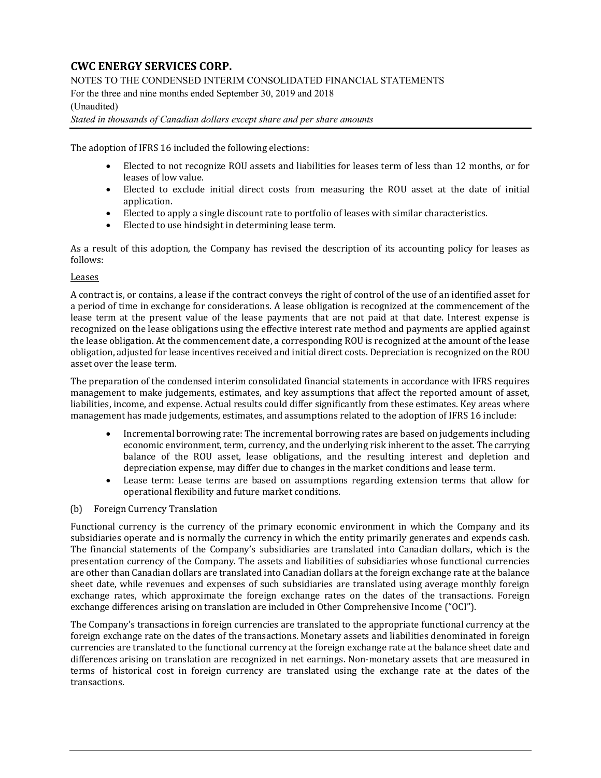NOTES TO THE CONDENSED INTERIM CONSOLIDATED FINANCIAL STATEMENTS

For the three and nine months ended September 30, 2019 and 2018

## (Unaudited)

#### *Stated in thousands of Canadian dollars except share and per share amounts*

The adoption of IFRS 16 included the following elections:

- Elected to not recognize ROU assets and liabilities for leases term of less than 12 months, or for leases of low value.
- Elected to exclude initial direct costs from measuring the ROU asset at the date of initial application.
- Elected to apply a single discount rate to portfolio of leases with similar characteristics.
- Elected to use hindsight in determining lease term.

As a result of this adoption, the Company has revised the description of its accounting policy for leases as follows:

#### Leases

A contract is, or contains, a lease if the contract conveys the right of control of the use of an identified asset for a period of time in exchange for considerations. A lease obligation is recognized at the commencement of the lease term at the present value of the lease payments that are not paid at that date. Interest expense is recognized on the lease obligations using the effective interest rate method and payments are applied against the lease obligation. At the commencement date, a corresponding ROU is recognized at the amount of the lease obligation, adjusted for lease incentives received and initial direct costs. Depreciation is recognized on the ROU asset over the lease term.

The preparation of the condensed interim consolidated financial statements in accordance with IFRS requires management to make judgements, estimates, and key assumptions that affect the reported amount of asset, liabilities, income, and expense. Actual results could differ significantly from these estimates. Key areas where management has made judgements, estimates, and assumptions related to the adoption of IFRS 16 include:

- Incremental borrowing rate: The incremental borrowing rates are based on judgements including economic environment, term, currency, and the underlying risk inherent to the asset. The carrying balance of the ROU asset, lease obligations, and the resulting interest and depletion and depreciation expense, may differ due to changes in the market conditions and lease term.
- Lease term: Lease terms are based on assumptions regarding extension terms that allow for operational flexibility and future market conditions.
- (b) Foreign Currency Translation

Functional currency is the currency of the primary economic environment in which the Company and its subsidiaries operate and is normally the currency in which the entity primarily generates and expends cash. The financial statements of the Company's subsidiaries are translated into Canadian dollars, which is the presentation currency of the Company. The assets and liabilities of subsidiaries whose functional currencies are other than Canadian dollars are translated into Canadian dollars at the foreign exchange rate at the balance sheet date, while revenues and expenses of such subsidiaries are translated using average monthly foreign exchange rates, which approximate the foreign exchange rates on the dates of the transactions. Foreign exchange differences arising on translation are included in Other Comprehensive Income ("OCI").

The Company's transactions in foreign currencies are translated to the appropriate functional currency at the foreign exchange rate on the dates of the transactions. Monetary assets and liabilities denominated in foreign currencies are translated to the functional currency at the foreign exchange rate at the balance sheet date and differences arising on translation are recognized in net earnings. Non-monetary assets that are measured in terms of historical cost in foreign currency are translated using the exchange rate at the dates of the transactions.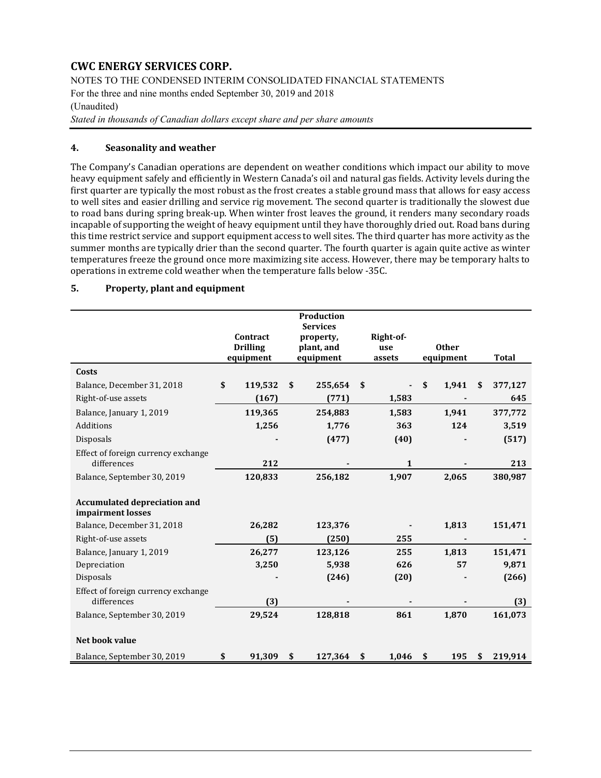NOTES TO THE CONDENSED INTERIM CONSOLIDATED FINANCIAL STATEMENTS

For the three and nine months ended September 30, 2019 and 2018

### (Unaudited)

*Stated in thousands of Canadian dollars except share and per share amounts* 

#### **4. Seasonality and weather**

The Company's Canadian operations are dependent on weather conditions which impact our ability to move heavy equipment safely and efficiently in Western Canada's oil and natural gas fields. Activity levels during the first quarter are typically the most robust as the frost creates a stable ground mass that allows for easy access to well sites and easier drilling and service rig movement. The second quarter is traditionally the slowest due to road bans during spring break-up. When winter frost leaves the ground, it renders many secondary roads incapable of supporting the weight of heavy equipment until they have thoroughly dried out. Road bans during this time restrict service and support equipment access to well sites. The third quarter has more activity as the summer months are typically drier than the second quarter. The fourth quarter is again quite active as winter temperatures freeze the ground once more maximizing site access. However, there may be temporary halts to operations in extreme cold weather when the temperature falls below -35C.

#### **5. Property, plant and equipment**

|                                                          | Contract<br><b>Drilling</b><br>equipment | Production<br><b>Services</b><br>property,<br>plant, and<br>equipment | Right-of-<br>use<br>assets | <b>Other</b><br>equipment | <b>Total</b>  |
|----------------------------------------------------------|------------------------------------------|-----------------------------------------------------------------------|----------------------------|---------------------------|---------------|
| Costs                                                    |                                          |                                                                       |                            |                           |               |
| Balance, December 31, 2018                               | \$<br>119,532                            | \$<br>255,654                                                         | \$                         | \$<br>1,941               | \$<br>377,127 |
| Right-of-use assets                                      | (167)                                    | (771)                                                                 | 1,583                      |                           | 645           |
| Balance, January 1, 2019                                 | 119,365                                  | 254,883                                                               | 1,583                      | 1,941                     | 377,772       |
| Additions                                                | 1,256                                    | 1,776                                                                 | 363                        | 124                       | 3,519         |
| <b>Disposals</b>                                         |                                          | (477)                                                                 | (40)                       |                           | (517)         |
| Effect of foreign currency exchange<br>differences       | 212                                      |                                                                       | $\mathbf{1}$               |                           | 213           |
| Balance, September 30, 2019                              | 120,833                                  | 256,182                                                               | 1,907                      | 2,065                     | 380,987       |
| <b>Accumulated depreciation and</b><br>impairment losses |                                          |                                                                       |                            |                           |               |
| Balance, December 31, 2018                               | 26,282                                   | 123,376                                                               |                            | 1,813                     | 151,471       |
| Right-of-use assets                                      | (5)                                      | (250)                                                                 | 255                        |                           |               |
| Balance, January 1, 2019                                 | 26,277                                   | 123,126                                                               | 255                        | 1,813                     | 151,471       |
| Depreciation                                             | 3,250                                    | 5,938                                                                 | 626                        | 57                        | 9,871         |
| <b>Disposals</b>                                         |                                          | (246)                                                                 | (20)                       |                           | (266)         |
| Effect of foreign currency exchange<br>differences       | (3)                                      |                                                                       |                            |                           | (3)           |
| Balance, September 30, 2019                              | 29,524                                   | 128,818                                                               | 861                        | 1.870                     | 161,073       |
| Net book value                                           |                                          |                                                                       |                            |                           |               |
| Balance, September 30, 2019                              | \$<br>91,309                             | \$<br>127,364                                                         | \$<br>1,046                | \$<br>195                 | \$<br>219,914 |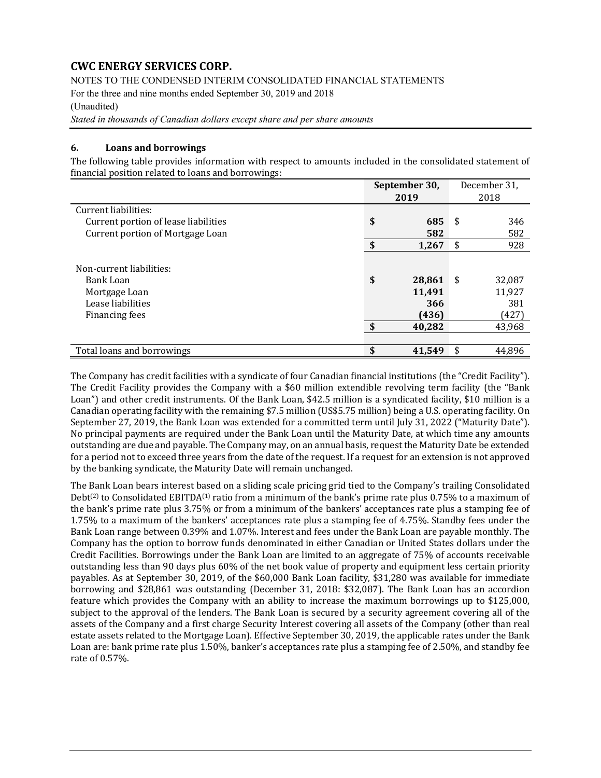NOTES TO THE CONDENSED INTERIM CONSOLIDATED FINANCIAL STATEMENTS

For the three and nine months ended September 30, 2019 and 2018

(Unaudited)

*Stated in thousands of Canadian dollars except share and per share amounts* 

### **6. Loans and borrowings**

The following table provides information with respect to amounts included in the consolidated statement of financial position related to loans and borrowings:

|                                                                                               | September 30, |                                            |     | December 31,                               |
|-----------------------------------------------------------------------------------------------|---------------|--------------------------------------------|-----|--------------------------------------------|
|                                                                                               |               | 2019                                       |     | 2018                                       |
| Current liabilities:                                                                          |               |                                            |     |                                            |
| Current portion of lease liabilities                                                          | \$            | 685                                        | -\$ | 346                                        |
| Current portion of Mortgage Loan                                                              |               | 582                                        |     | 582                                        |
|                                                                                               | \$            | 1,267                                      | S   | 928                                        |
| Non-current liabilities:<br>Bank Loan<br>Mortgage Loan<br>Lease liabilities<br>Financing fees | \$<br>\$      | 28,861<br>11,491<br>366<br>(436)<br>40,282 | -\$ | 32,087<br>11,927<br>381<br>(427)<br>43,968 |
| Total loans and borrowings                                                                    | \$            | 41,549                                     |     | 44,896                                     |

The Company has credit facilities with a syndicate of four Canadian financial institutions (the "Credit Facility"). The Credit Facility provides the Company with a \$60 million extendible revolving term facility (the "Bank Loan") and other credit instruments. Of the Bank Loan, \$42.5 million is a syndicated facility, \$10 million is a Canadian operating facility with the remaining \$7.5 million (US\$5.75 million) being a U.S. operating facility. On September 27, 2019, the Bank Loan was extended for a committed term until July 31, 2022 ("Maturity Date"). No principal payments are required under the Bank Loan until the Maturity Date, at which time any amounts outstanding are due and payable. The Company may, on an annual basis, request the Maturity Date be extended for a period not to exceed three years from the date of the request. If a request for an extension is not approved by the banking syndicate, the Maturity Date will remain unchanged.

The Bank Loan bears interest based on a sliding scale pricing grid tied to the Company's trailing Consolidated Debt<sup>(2)</sup> to Consolidated EBITDA<sup>(1)</sup> ratio from a minimum of the bank's prime rate plus 0.75% to a maximum of the bank's prime rate plus 3.75% or from a minimum of the bankers' acceptances rate plus a stamping fee of 1.75% to a maximum of the bankers' acceptances rate plus a stamping fee of 4.75%. Standby fees under the Bank Loan range between 0.39% and 1.07%. Interest and fees under the Bank Loan are payable monthly. The Company has the option to borrow funds denominated in either Canadian or United States dollars under the Credit Facilities. Borrowings under the Bank Loan are limited to an aggregate of 75% of accounts receivable outstanding less than 90 days plus 60% of the net book value of property and equipment less certain priority payables. As at September 30, 2019, of the \$60,000 Bank Loan facility, \$31,280 was available for immediate borrowing and \$28,861 was outstanding (December 31, 2018: \$32,087). The Bank Loan has an accordion feature which provides the Company with an ability to increase the maximum borrowings up to \$125,000, subject to the approval of the lenders. The Bank Loan is secured by a security agreement covering all of the assets of the Company and a first charge Security Interest covering all assets of the Company (other than real estate assets related to the Mortgage Loan). Effective September 30, 2019, the applicable rates under the Bank Loan are: bank prime rate plus 1.50%, banker's acceptances rate plus a stamping fee of 2.50%, and standby fee rate of 0.57%.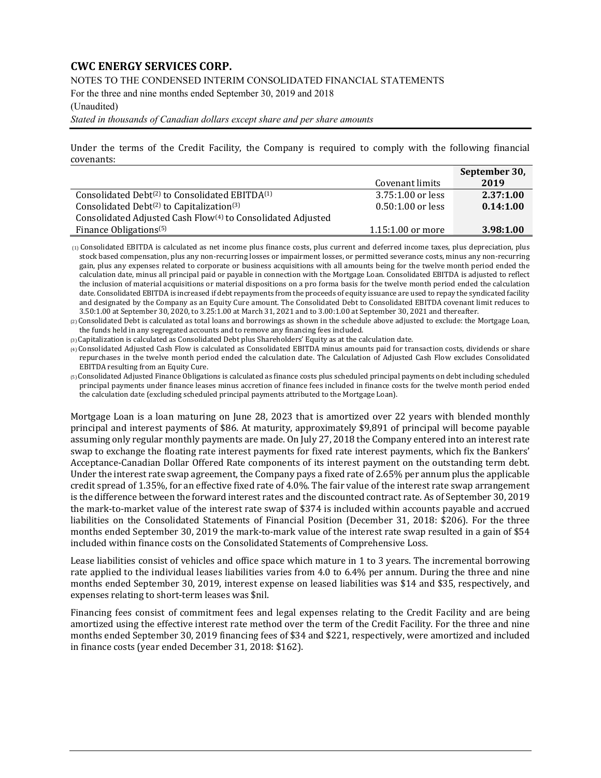NOTES TO THE CONDENSED INTERIM CONSOLIDATED FINANCIAL STATEMENTS

For the three and nine months ended September 30, 2019 and 2018

#### (Unaudited)

*Stated in thousands of Canadian dollars except share and per share amounts* 

Under the terms of the Credit Facility, the Company is required to comply with the following financial covenants:

|                                                                         |                     | September 30, |
|-------------------------------------------------------------------------|---------------------|---------------|
|                                                                         | Covenant limits     | 2019          |
| Consolidated Debt <sup>(2)</sup> to Consolidated EBITDA <sup>(1)</sup>  | 3.75:1.00 or less   | 2.37:1.00     |
| Consolidated Debt $(2)$ to Capitalization $(3)$                         | $0.50:1.00$ or less | 0.14:1.00     |
| Consolidated Adjusted Cash Flow <sup>(4)</sup> to Consolidated Adjusted |                     |               |
| Finance Obligations <sup>(5)</sup>                                      | $1.15:1.00$ or more | 3.98:1.00     |

 $(1)$  Consolidated EBITDA is calculated as net income plus finance costs, plus current and deferred income taxes, plus depreciation, plus stock based compensation, plus any non-recurring losses or impairment losses, or permitted severance costs, minus any non-recurring gain, plus any expenses related to corporate or business acquisitions with all amounts being for the twelve month period ended the calculation date, minus all principal paid or payable in connection with the Mortgage Loan. Consolidated EBITDA is adjusted to reflect the inclusion of material acquisitions or material dispositions on a pro forma basis for the twelve month period ended the calculation date. Consolidated EBITDA is increased if debt repayments from the proceeds of equity issuance are used to repay the syndicated facility and designated by the Company as an Equity Cure amount. The Consolidated Debt to Consolidated EBITDA covenant limit reduces to 3.50:1.00 at September 30, 2020, to 3.25:1.00 at March 31, 2021 and to 3.00:1.00 at September 30, 2021 and thereafter.

(2) Consolidated Debt is calculated as total loans and borrowings as shown in the schedule above adjusted to exclude: the Mortgage Loan, the funds held in any segregated accounts and to remove any financing fees included.

(3) Capitalization is calculated as Consolidated Debt plus Shareholders' Equity as at the calculation date.

(4) Consolidated Adjusted Cash Flow is calculated as Consolidated EBITDA minus amounts paid for transaction costs, dividends or share repurchases in the twelve month period ended the calculation date. The Calculation of Adjusted Cash Flow excludes Consolidated EBITDA resulting from an Equity Cure.

(5) Consolidated Adjusted Finance Obligations is calculated as finance costs plus scheduled principal payments on debt including scheduled principal payments under finance leases minus accretion of finance fees included in finance costs for the twelve month period ended the calculation date (excluding scheduled principal payments attributed to the Mortgage Loan).

Mortgage Loan is a loan maturing on June 28, 2023 that is amortized over 22 years with blended monthly principal and interest payments of \$86. At maturity, approximately \$9,891 of principal will become payable assuming only regular monthly payments are made. On July 27, 2018 the Company entered into an interest rate swap to exchange the floating rate interest payments for fixed rate interest payments, which fix the Bankers' Acceptance-Canadian Dollar Offered Rate components of its interest payment on the outstanding term debt. Under the interest rate swap agreement, the Company pays a fixed rate of 2.65% per annum plus the applicable credit spread of 1.35%, for an effective fixed rate of 4.0%. The fair value of the interest rate swap arrangement is the difference between the forward interest rates and the discounted contract rate. As of September 30, 2019 the mark-to-market value of the interest rate swap of \$374 is included within accounts payable and accrued liabilities on the Consolidated Statements of Financial Position (December 31, 2018: \$206). For the three months ended September 30, 2019 the mark-to-mark value of the interest rate swap resulted in a gain of \$54 included within finance costs on the Consolidated Statements of Comprehensive Loss.

Lease liabilities consist of vehicles and office space which mature in 1 to 3 years. The incremental borrowing rate applied to the individual leases liabilities varies from 4.0 to 6.4% per annum. During the three and nine months ended September 30, 2019, interest expense on leased liabilities was \$14 and \$35, respectively, and expenses relating to short-term leases was \$nil.

Financing fees consist of commitment fees and legal expenses relating to the Credit Facility and are being amortized using the effective interest rate method over the term of the Credit Facility. For the three and nine months ended September 30, 2019 financing fees of \$34 and \$221, respectively, were amortized and included in finance costs (year ended December 31, 2018: \$162).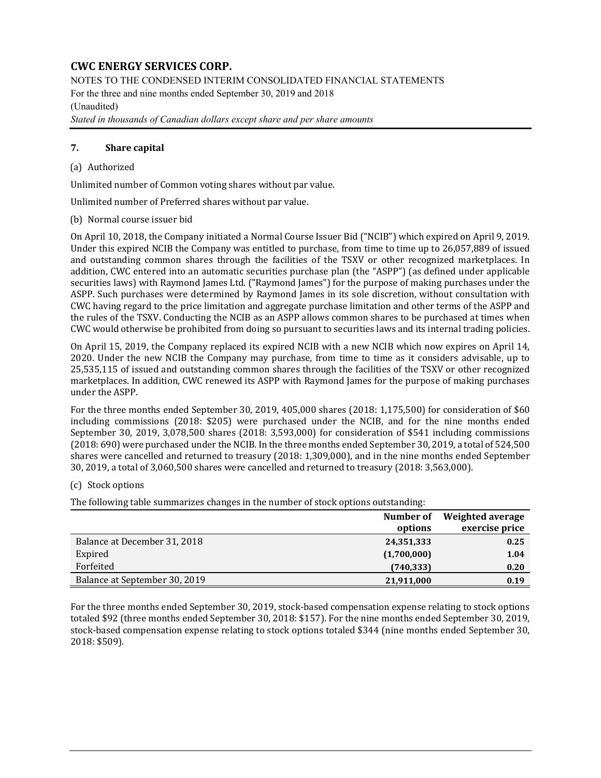NOTES TO THE CONDENSED INTERIM CONSOLIDATED FINANCIAL STATEMENTS For the three and nine months ended September 30, 2019 and 2018 (Unaudited)

*Stated in thousands of Canadian dollars except share and per share amounts* 

### **7. Share capital**

#### (a) Authorized

Unlimited number of Common voting shares without par value.

Unlimited number of Preferred shares without par value.

(b) Normal course issuer bid

On April 10, 2018, the Company initiated a Normal Course Issuer Bid ("NCIB") which expired on April 9, 2019. Under this expired NCIB the Company was entitled to purchase, from time to time up to 26,057,889 of issued and outstanding common shares through the facilities of the TSXV or other recognized marketplaces. In addition, CWC entered into an automatic securities purchase plan (the "ASPP") (as defined under applicable securities laws) with Raymond James Ltd. ("Raymond James") for the purpose of making purchases under the ASPP. Such purchases were determined by Raymond James in its sole discretion, without consultation with CWC having regard to the price limitation and aggregate purchase limitation and other terms of the ASPP and the rules of the TSXV. Conducting the NCIB as an ASPP allows common shares to be purchased at times when CWC would otherwise be prohibited from doing so pursuant to securities laws and its internal trading policies.

On April 15, 2019, the Company replaced its expired NCIB with a new NCIB which now expires on April 14, 2020. Under the new NCIB the Company may purchase, from time to time as it considers advisable, up to 25,535,115 of issued and outstanding common shares through the facilities of the TSXV or other recognized marketplaces. In addition, CWC renewed its ASPP with Raymond James for the purpose of making purchases under the ASPP.

For the three months ended September 30, 2019, 405,000 shares (2018: 1,175,500) for consideration of \$60 including commissions (2018: \$205) were purchased under the NCIB, and for the nine months ended September 30, 2019, 3,078,500 shares (2018: 3,593,000) for consideration of \$541 including commissions (2018: 690) were purchased under the NCIB. In the three months ended September 30, 2019, a total of 524,500 shares were cancelled and returned to treasury (2018: 1,309,000), and in the nine months ended September 30, 2019, a total of 3,060,500 shares were cancelled and returned to treasury (2018: 3,563,000).

### (c) Stock options

The following table summarizes changes in the number of stock options outstanding:

|                               | Number of<br>options | Weighted average<br>exercise price |
|-------------------------------|----------------------|------------------------------------|
| Balance at December 31, 2018  | 24,351,333           | 0.25                               |
| Expired                       | (1,700,000)          | 1.04                               |
| Forfeited                     | (740, 333)           | 0.20                               |
| Balance at September 30, 2019 | 21,911,000           | 0.19                               |

For the three months ended September 30, 2019, stock-based compensation expense relating to stock options totaled \$92 (three months ended September 30, 2018: \$157). For the nine months ended September 30, 2019, stock-based compensation expense relating to stock options totaled \$344 (nine months ended September 30, 2018: \$509).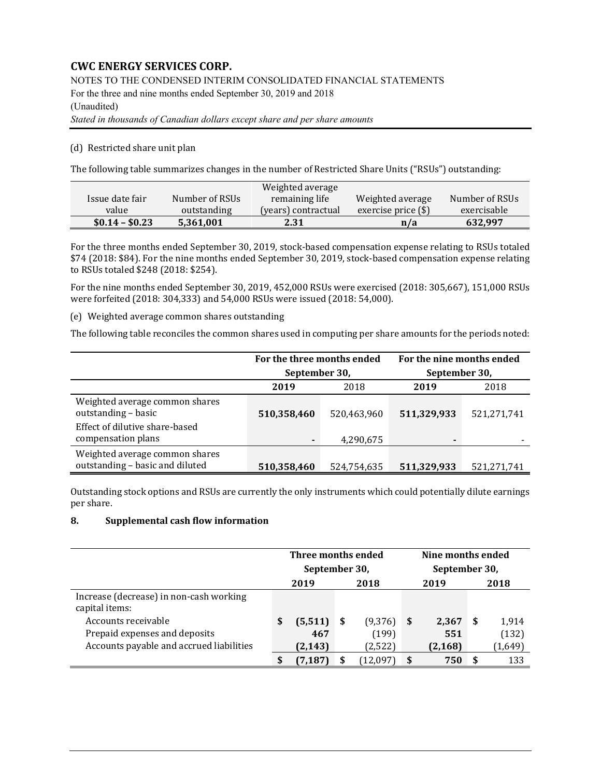NOTES TO THE CONDENSED INTERIM CONSOLIDATED FINANCIAL STATEMENTS

For the three and nine months ended September 30, 2019 and 2018

### (Unaudited)

*Stated in thousands of Canadian dollars except share and per share amounts* 

## (d) Restricted share unit plan

The following table summarizes changes in the number of Restricted Share Units ("RSUs") outstanding:

|                 |                | Weighted average    |                       |                |
|-----------------|----------------|---------------------|-----------------------|----------------|
| Issue date fair | Number of RSUs | remaining life      | Weighted average      | Number of RSUs |
| value           | outstanding    | (years) contractual | exercise price $(\$)$ | exercisable    |
| $$0.14 - $0.23$ | 5,361,001      | 2.31                | n/a                   | 632,997        |

For the three months ended September 30, 2019, stock-based compensation expense relating to RSUs totaled \$74 (2018: \$84). For the nine months ended September 30, 2019, stock-based compensation expense relating to RSUs totaled \$248 (2018: \$254).

For the nine months ended September 30, 2019, 452,000 RSUs were exercised (2018: 305,667), 151,000 RSUs were forfeited (2018: 304,333) and 54,000 RSUs were issued (2018: 54,000).

(e) Weighted average common shares outstanding

The following table reconciles the common shares used in computing per share amounts for the periods noted:

|                                                                   | For the three months ended<br>September 30, |             | For the nine months ended<br>September 30, |             |
|-------------------------------------------------------------------|---------------------------------------------|-------------|--------------------------------------------|-------------|
|                                                                   | 2019                                        | 2018        | 2019                                       | 2018        |
| Weighted average common shares<br>outstanding - basic             | 510,358,460                                 | 520,463,960 | 511,329,933                                | 521,271,741 |
| Effect of dilutive share-based<br>compensation plans              |                                             | 4,290,675   | $\blacksquare$                             |             |
| Weighted average common shares<br>outstanding - basic and diluted | 510,358,460                                 | 524,754,635 | 511,329,933                                | 521,271,741 |

Outstanding stock options and RSUs are currently the only instruments which could potentially dilute earnings per share.

## **8. Supplemental cash flow information**

|                                                           | Three months ended<br>September 30, |          |     |          |    | Nine months ended<br>September 30, |   |         |
|-----------------------------------------------------------|-------------------------------------|----------|-----|----------|----|------------------------------------|---|---------|
|                                                           |                                     | 2019     |     | 2018     |    | 2019                               |   | 2018    |
| Increase (decrease) in non-cash working<br>capital items: |                                     |          |     |          |    |                                    |   |         |
| Accounts receivable                                       | S                                   | (5, 511) | - S | (9,376)  | -S | 2,367                              | S | 1,914   |
| Prepaid expenses and deposits                             |                                     | 467      |     | (199)    |    | 551                                |   | (132)   |
| Accounts payable and accrued liabilities                  |                                     | (2, 143) |     | (2, 522) |    | (2, 168)                           |   | (1,649) |
|                                                           | \$                                  | (7, 187) | S   | (12,097) | -S | 750                                | S | 133     |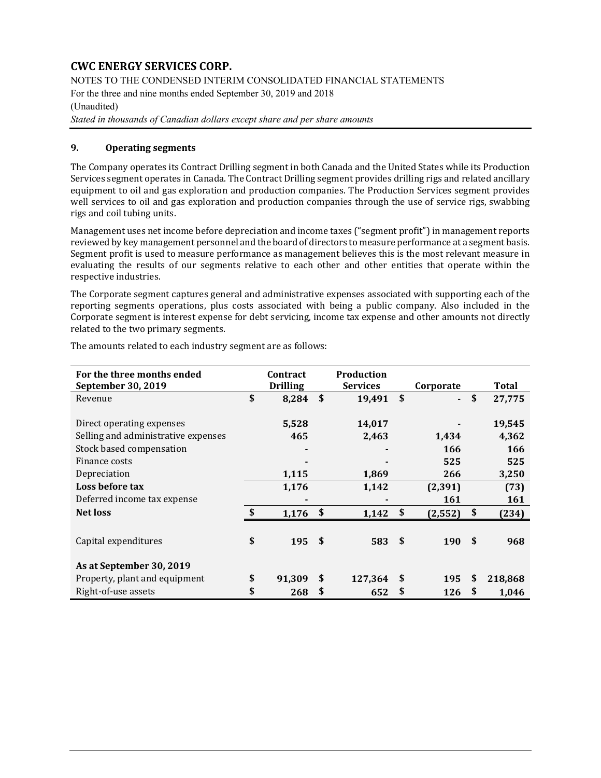NOTES TO THE CONDENSED INTERIM CONSOLIDATED FINANCIAL STATEMENTS

For the three and nine months ended September 30, 2019 and 2018

## (Unaudited)

*Stated in thousands of Canadian dollars except share and per share amounts* 

## **9. Operating segments**

The Company operates its Contract Drilling segment in both Canada and the United States while its Production Services segment operates in Canada. The Contract Drilling segment provides drilling rigs and related ancillary equipment to oil and gas exploration and production companies. The Production Services segment provides well services to oil and gas exploration and production companies through the use of service rigs, swabbing rigs and coil tubing units.

Management uses net income before depreciation and income taxes ("segment profit") in management reports reviewed by key management personnel and the board of directors to measure performance at a segment basis. Segment profit is used to measure performance as management believes this is the most relevant measure in evaluating the results of our segments relative to each other and other entities that operate within the respective industries.

The Corporate segment captures general and administrative expenses associated with supporting each of the reporting segments operations, plus costs associated with being a public company. Also included in the Corporate segment is interest expense for debt servicing, income tax expense and other amounts not directly related to the two primary segments.

| For the three months ended          |               | <b>Contract</b> |                    | <b>Production</b> |              |                |               |
|-------------------------------------|---------------|-----------------|--------------------|-------------------|--------------|----------------|---------------|
| September 30, 2019                  |               | <b>Drilling</b> |                    | <b>Services</b>   |              | Corporate      | <b>Total</b>  |
| Revenue                             | \$            | 8,284           | \$                 | 19,491            | \$           | $\blacksquare$ | \$<br>27,775  |
| Direct operating expenses           |               | 5,528           |                    | 14,017            |              |                | 19,545        |
|                                     |               |                 |                    |                   |              |                |               |
| Selling and administrative expenses |               | 465             |                    | 2,463             |              | 1,434          | 4,362         |
| Stock based compensation            |               |                 |                    |                   |              | 166            | 166           |
| Finance costs                       |               |                 |                    |                   |              | 525            | 525           |
| Depreciation                        |               | 1,115           |                    | 1,869             |              | 266            | 3,250         |
| Loss before tax                     |               | 1,176           |                    | 1,142             |              | (2, 391)       | (73)          |
| Deferred income tax expense         |               |                 |                    |                   |              | <b>161</b>     | 161           |
| <b>Net loss</b>                     | $\mathbf{\$}$ | 1,176           | $\mathbf{\hat{S}}$ | 1,142             | \$           | (2, 552)       | \$<br>(234)   |
|                                     |               |                 |                    |                   |              |                |               |
| Capital expenditures                | \$            | 195             | \$                 | 583               | $\mathbf{s}$ | 190            | \$<br>968     |
| As at September 30, 2019            |               |                 |                    |                   |              |                |               |
| Property, plant and equipment       | \$            | 91,309          | \$                 | 127,364           | \$           | 195            | \$<br>218,868 |
| Right-of-use assets                 | \$            | 268             | \$                 | 652               | \$           | 126            | \$<br>1,046   |

The amounts related to each industry segment are as follows: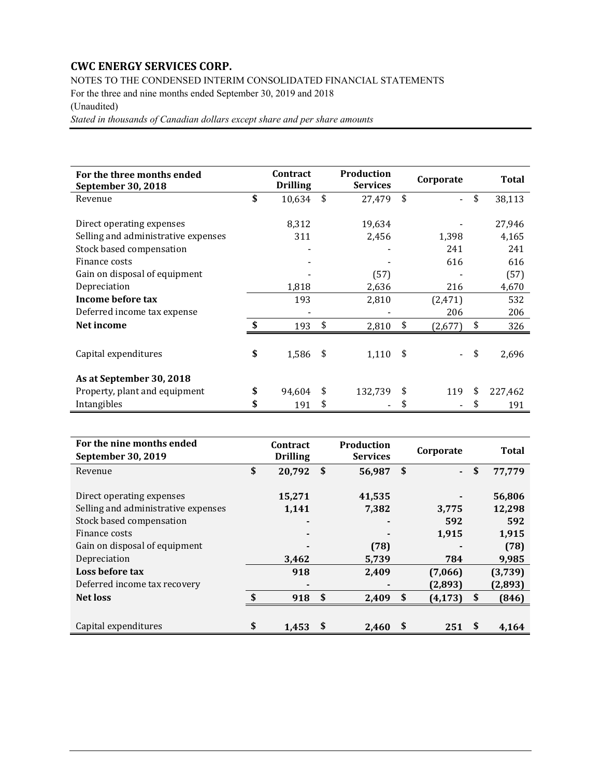NOTES TO THE CONDENSED INTERIM CONSOLIDATED FINANCIAL STATEMENTS

For the three and nine months ended September 30, 2019 and 2018

## (Unaudited)

*Stated in thousands of Canadian dollars except share and per share amounts* 

| For the three months ended<br>September 30, 2018                 | Contract<br><b>Drilling</b> | Production<br><b>Services</b> |               | Corporate | <b>Total</b>    |
|------------------------------------------------------------------|-----------------------------|-------------------------------|---------------|-----------|-----------------|
| Revenue                                                          | \$<br>10,634                | \$<br>27,479                  | \$            |           | \$<br>38,113    |
| Direct operating expenses<br>Selling and administrative expenses | 8,312<br>311                | 19,634<br>2,456               |               | 1,398     | 27,946<br>4,165 |
| Stock based compensation                                         |                             |                               |               | 241       | 241             |
| Finance costs                                                    |                             |                               |               | 616       | 616             |
| Gain on disposal of equipment                                    |                             | (57)                          |               |           | (57)            |
| Depreciation                                                     | 1,818                       | 2,636                         |               | 216       | 4,670           |
| Income before tax                                                | 193                         | 2,810                         |               | (2, 471)  | 532             |
| Deferred income tax expense                                      |                             |                               |               | 206       | 206             |
| Net income                                                       | \$<br>193                   | \$<br>2,810                   | \$            | (2,677)   | \$<br>326       |
| Capital expenditures                                             | \$<br>1,586                 | \$<br>1,110                   | $\mathsf{\$}$ |           | \$<br>2,696     |
| As at September 30, 2018                                         |                             |                               |               |           |                 |
| Property, plant and equipment                                    | \$<br>94,604                | \$<br>132,739                 | \$            | 119       | \$<br>227,462   |
| Intangibles                                                      | \$<br>191                   | \$                            | \$            |           | \$<br>191       |

| For the nine months ended<br>September 30, 2019 |               | Contract<br><b>Drilling</b> | <b>Production</b><br><b>Services</b> |            | Corporate |    | <b>Total</b> |
|-------------------------------------------------|---------------|-----------------------------|--------------------------------------|------------|-----------|----|--------------|
| Revenue                                         | \$            | 20,792                      | \$<br>56,987                         | $\sqrt{5}$ | $\sim$    | \$ | 77,779       |
|                                                 |               |                             |                                      |            |           |    |              |
| Direct operating expenses                       |               | 15,271                      | 41,535                               |            |           |    | 56,806       |
| Selling and administrative expenses             |               | 1,141                       | 7,382                                |            | 3,775     |    | 12,298       |
| Stock based compensation                        |               |                             |                                      |            | 592       |    | 592          |
| Finance costs                                   |               |                             |                                      |            | 1,915     |    | 1,915        |
| Gain on disposal of equipment                   |               |                             | (78)                                 |            |           |    | (78)         |
| Depreciation                                    |               | 3,462                       | 5,739                                |            | 784       |    | 9,985        |
| Loss before tax                                 |               | 918                         | 2,409                                |            | (7,066)   |    | (3,739)      |
| Deferred income tax recovery                    |               |                             |                                      |            | (2,893)   |    | (2,893)      |
| <b>Net loss</b>                                 | $\mathbf{\$}$ | 918                         | \$<br>2,409                          | - \$       | (4, 173)  | \$ | (846)        |
|                                                 |               |                             |                                      |            |           |    |              |
| Capital expenditures                            | \$            | 1,453                       | 2,460                                | S          | 251       | S  | 4,164        |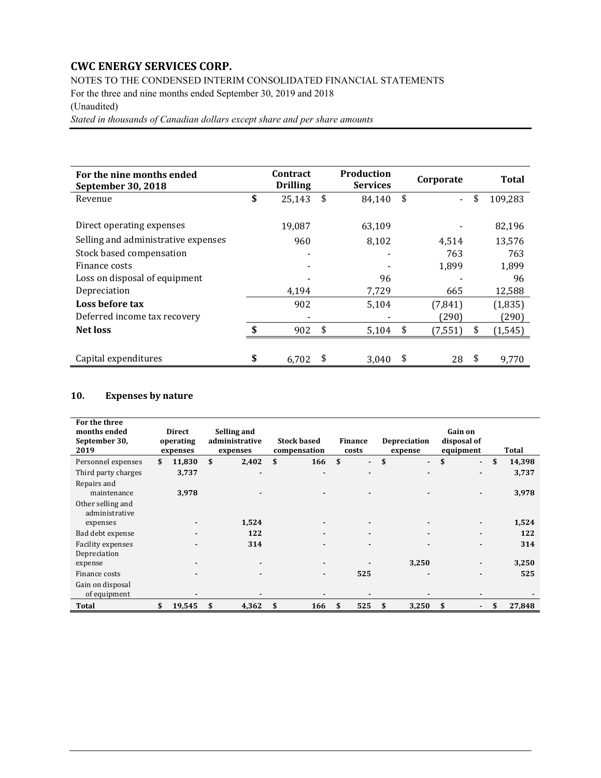NOTES TO THE CONDENSED INTERIM CONSOLIDATED FINANCIAL STATEMENTS

For the three and nine months ended September 30, 2019 and 2018

## (Unaudited)

*Stated in thousands of Canadian dollars except share and per share amounts* 

| For the nine months ended<br>September 30, 2018 | <b>Contract</b><br><b>Drilling</b> | <b>Production</b><br><b>Services</b> | Corporate          | Total          |
|-------------------------------------------------|------------------------------------|--------------------------------------|--------------------|----------------|
| Revenue                                         | \$<br>25,143                       | \$<br>84,140                         | \$<br>$\mathbf{r}$ | \$<br>109,283  |
|                                                 |                                    |                                      |                    |                |
| Direct operating expenses                       | 19,087                             | 63,109                               |                    | 82,196         |
| Selling and administrative expenses             | 960                                | 8,102                                | 4.514              | 13.576         |
| Stock based compensation                        |                                    |                                      | 763                | 763            |
| Finance costs                                   |                                    |                                      | 1,899              | 1.899          |
| Loss on disposal of equipment                   |                                    | 96                                   |                    | 96             |
| Depreciation                                    | 4,194                              | 7,729                                | 665                | 12,588         |
| Loss before tax                                 | 902                                | 5,104                                | (7, 841)           | (1,835)        |
| Deferred income tax recovery                    |                                    |                                      | (290)              | (290)          |
| <b>Net loss</b>                                 | \$<br>902                          | \$<br>5,104                          | \$<br>(7, 551)     | \$<br>(1, 545) |
|                                                 |                                    |                                      |                    |                |
| Capital expenditures                            | \$<br>6.702                        | 3.040                                | \$<br>28           | \$<br>9.770    |

## **10. Expenses by nature**

| For the three<br>months ended<br>September 30,<br>2019 | <b>Direct</b><br>operating<br>expenses |    | Selling and<br>administrative<br>expenses | <b>Stock based</b><br>compensation |     | <b>Finance</b><br>costs |    | <b>Depreciation</b><br>expense |    | Gain on<br>disposal of<br>equipment | Total        |
|--------------------------------------------------------|----------------------------------------|----|-------------------------------------------|------------------------------------|-----|-------------------------|----|--------------------------------|----|-------------------------------------|--------------|
| Personnel expenses                                     | \$<br>11,830                           | \$ | 2,402                                     | \$<br>166                          | \$  | $\blacksquare$          | \$ | $\blacksquare$                 | \$ | $\blacksquare$                      | \$<br>14,398 |
| Third party charges                                    | 3,737                                  |    | $\blacksquare$                            | $\blacksquare$                     |     | $\blacksquare$          |    |                                |    |                                     | 3,737        |
| Repairs and<br>maintenance                             | 3,978                                  |    |                                           | $\blacksquare$                     |     | $\blacksquare$          |    | $\overline{\phantom{0}}$       |    |                                     | 3,978        |
| Other selling and<br>administrative                    |                                        |    |                                           |                                    |     |                         |    |                                |    |                                     |              |
| expenses                                               |                                        |    | 1,524                                     | $\blacksquare$                     |     |                         |    |                                |    |                                     | 1,524        |
| Bad debt expense                                       |                                        |    | 122                                       | $\blacksquare$                     |     |                         |    |                                |    |                                     | 122          |
| <b>Facility expenses</b>                               |                                        |    | 314                                       | $\blacksquare$                     |     |                         |    |                                |    |                                     | 314          |
| Depreciation<br>expense                                |                                        |    | $\blacksquare$                            | $\blacksquare$                     |     |                         |    | 3,250                          |    |                                     | 3,250        |
| Finance costs                                          |                                        |    |                                           | $\blacksquare$                     |     | 525                     |    |                                |    |                                     | 525          |
| Gain on disposal<br>of equipment                       |                                        |    |                                           |                                    |     |                         |    |                                |    |                                     |              |
| Total                                                  | \$<br>19,545                           | S  | 4,362                                     | \$<br>166                          | \$. | 525                     | S  | 3,250                          | S  |                                     | \$<br>27,848 |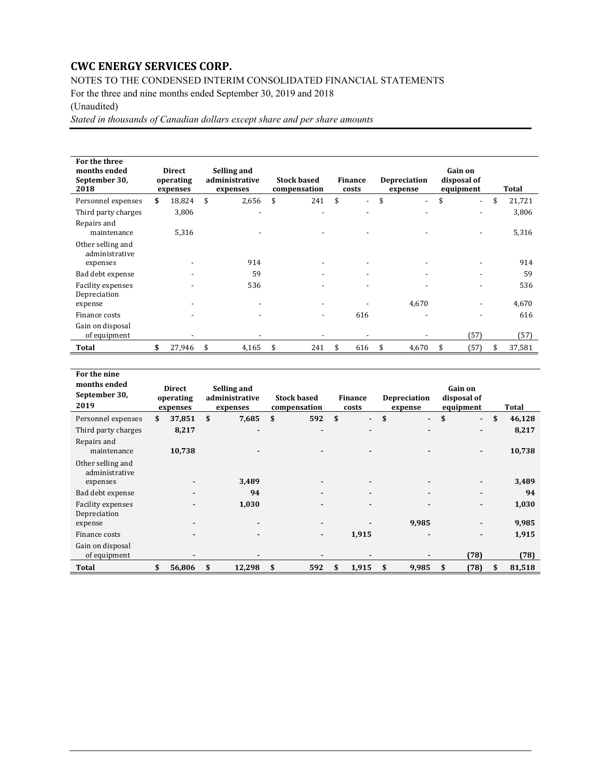NOTES TO THE CONDENSED INTERIM CONSOLIDATED FINANCIAL STATEMENTS

For the three and nine months ended September 30, 2019 and 2018

## (Unaudited)

*Stated in thousands of Canadian dollars except share and per share amounts* 

| For the three<br>months ended<br>September 30,<br>2018 | <b>Direct</b><br>operating<br>expenses | Selling and<br>administrative<br>expenses | <b>Stock based</b><br>compensation | <b>Finance</b><br>costs        |     | <b>Depreciation</b><br>expense | Gain on<br>disposal of<br>equipment | Total        |
|--------------------------------------------------------|----------------------------------------|-------------------------------------------|------------------------------------|--------------------------------|-----|--------------------------------|-------------------------------------|--------------|
| Personnel expenses                                     | \$<br>18,824                           | \$<br>2,656                               | \$<br>241                          | \$<br>$\overline{\phantom{a}}$ | \$  | $\overline{\phantom{0}}$       | \$<br>$\overline{\phantom{a}}$      | \$<br>21,721 |
| Third party charges                                    | 3,806                                  | $\overline{\phantom{a}}$                  | $\overline{\phantom{a}}$           |                                |     |                                |                                     | 3,806        |
| Repairs and<br>maintenance                             | 5,316                                  |                                           | $\overline{\phantom{a}}$           | $\overline{\phantom{a}}$       |     |                                |                                     | 5,316        |
| Other selling and<br>administrative                    |                                        |                                           |                                    |                                |     |                                |                                     |              |
| expenses                                               |                                        | 914                                       |                                    |                                |     |                                |                                     | 914          |
| Bad debt expense                                       |                                        | 59                                        | $\overline{\phantom{a}}$           | $\overline{\phantom{a}}$       |     | $\overline{\phantom{a}}$       |                                     | 59           |
| Facility expenses                                      |                                        | 536                                       | $\overline{\phantom{a}}$           | $\overline{\phantom{a}}$       |     | $\overline{\phantom{0}}$       |                                     | 536          |
| Depreciation                                           |                                        |                                           |                                    |                                |     |                                |                                     |              |
| expense                                                |                                        |                                           | $\overline{\phantom{a}}$           |                                |     | 4,670                          |                                     | 4,670        |
| Finance costs                                          |                                        |                                           | -                                  | 616                            |     |                                |                                     | 616          |
| Gain on disposal<br>of equipment                       |                                        |                                           |                                    |                                |     |                                | (57)                                | (57)         |
| Total                                                  | \$<br>27,946                           | \$<br>4,165                               | \$<br>241                          | \$<br>616                      | -\$ | 4,670                          | \$<br>(57)                          | \$<br>37,581 |

| For the nine<br>months ended<br>September 30,<br>2019 | Direct<br>operating<br>expenses | Selling and<br>administrative<br>expenses | <b>Stock based</b><br>compensation | <b>Finance</b><br>costs | <b>Depreciation</b><br>expense | Gain on<br>disposal of<br>equipment | Total        |
|-------------------------------------------------------|---------------------------------|-------------------------------------------|------------------------------------|-------------------------|--------------------------------|-------------------------------------|--------------|
| Personnel expenses                                    | \$<br>37,851                    | \$<br>7,685                               | \$<br>592                          | \$<br>$\blacksquare$    | \$<br>$\blacksquare$           | \$<br>$\overline{\phantom{a}}$      | \$<br>46,128 |
| Third party charges                                   | 8,217                           |                                           |                                    |                         | -                              | $\blacksquare$                      | 8,217        |
| Repairs and<br>maintenance                            | 10,738                          |                                           |                                    |                         |                                | $\overline{\phantom{0}}$            | 10,738       |
| Other selling and<br>administrative<br>expenses       |                                 | 3,489                                     |                                    |                         |                                |                                     | 3,489        |
| Bad debt expense                                      |                                 | 94                                        |                                    |                         |                                | ۰                                   | 94           |
| Facility expenses<br>Depreciation                     |                                 | 1,030                                     |                                    |                         |                                |                                     | 1,030        |
| expense                                               |                                 |                                           |                                    |                         | 9,985                          |                                     | 9,985        |
| Finance costs                                         |                                 |                                           | ٠                                  | 1,915                   | $\overline{\phantom{0}}$       | $\blacksquare$                      | 1,915        |
| Gain on disposal<br>of equipment                      |                                 |                                           |                                    |                         |                                | (78)                                | (78)         |
| Total                                                 | 56,806                          | \$<br>12,298                              | \$<br>592                          | \$<br>1,915             | \$<br>9,985                    | \$<br>(78)                          | \$<br>81,518 |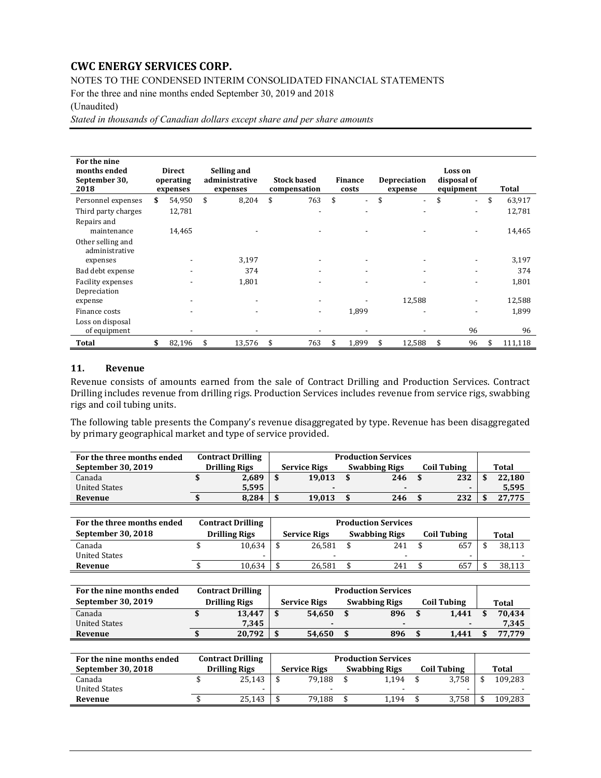NOTES TO THE CONDENSED INTERIM CONSOLIDATED FINANCIAL STATEMENTS

For the three and nine months ended September 30, 2019 and 2018

#### (Unaudited)

*Stated in thousands of Canadian dollars except share and per share amounts* 

| For the nine<br>months ended<br>September 30,<br>2018 | <b>Direct</b><br>operating<br>expenses | Selling and<br>administrative<br>expenses | <b>Stock based</b><br>compensation | Finance<br>costs | <b>Depreciation</b><br>expense | Loss on<br>disposal of<br>equipment | Total         |
|-------------------------------------------------------|----------------------------------------|-------------------------------------------|------------------------------------|------------------|--------------------------------|-------------------------------------|---------------|
| Personnel expenses                                    | \$<br>54,950                           | \$<br>8,204                               | \$<br>763                          | \$               | \$                             | \$<br>$\overline{\phantom{a}}$      | \$<br>63,917  |
| Third party charges                                   | 12,781                                 |                                           |                                    |                  |                                |                                     | 12,781        |
| Repairs and<br>maintenance                            | 14,465                                 |                                           |                                    |                  |                                |                                     | 14,465        |
| Other selling and<br>administrative                   |                                        |                                           |                                    |                  |                                |                                     |               |
| expenses                                              |                                        | 3,197                                     |                                    |                  |                                |                                     | 3,197         |
| Bad debt expense                                      |                                        | 374                                       |                                    |                  |                                |                                     | 374           |
| Facility expenses<br>Depreciation                     |                                        | 1,801                                     |                                    |                  |                                |                                     | 1,801         |
| expense                                               |                                        |                                           |                                    |                  | 12,588                         |                                     | 12,588        |
| Finance costs                                         |                                        |                                           | $\overline{\phantom{a}}$           | 1,899            |                                |                                     | 1,899         |
| Loss on disposal<br>of equipment                      |                                        |                                           |                                    |                  |                                | 96                                  | 96            |
| Total                                                 | \$<br>82,196                           | \$<br>13,576                              | \$<br>763                          | \$<br>1,899      | \$<br>12,588                   | \$<br>96                            | \$<br>111,118 |

#### **11. Revenue**

Revenue consists of amounts earned from the sale of Contract Drilling and Production Services. Contract Drilling includes revenue from drilling rigs. Production Services includes revenue from service rigs, swabbing rigs and coil tubing units.

The following table presents the Company's revenue disaggregated by type. Revenue has been disaggregated by primary geographical market and type of service provided.

| For the three months ended | <b>Contract Drilling</b> |                          | <b>Production Services</b> |  |             |              |
|----------------------------|--------------------------|--------------------------|----------------------------|--|-------------|--------------|
| September 30, 2019         | <b>Drilling Rigs</b>     | <b>Service Rigs</b>      | <b>Swabbing Rigs</b>       |  | Coil Tubing | <b>Total</b> |
| Canada                     | 2,689                    | 19.013                   | 246                        |  | 232         | 22.180       |
| <b>United States</b>       | 5.595                    | $\overline{\phantom{0}}$ | $\blacksquare$             |  |             | 5,595        |
| Revenue                    | 8,284                    | 19.013                   | 246                        |  | 232         | 27.775       |

| For the three months ended | <b>Contract Drilling</b> |                     | <b>Production Services</b> |             |        |
|----------------------------|--------------------------|---------------------|----------------------------|-------------|--------|
| September 30, 2018         | <b>Drilling Rigs</b>     | <b>Service Rigs</b> | <b>Swabbing Rigs</b>       | Coil Tubing | Total  |
| Canada                     | 10,634                   | 26.581              | 241                        | 657         | 38,113 |
| <b>United States</b>       | -                        | -                   | $\overline{\phantom{a}}$   | -           |        |
| Revenue                    | 10,634                   | 26.581              | 241                        | 657         | 38.113 |

| For the nine months ended | <b>Contract Drilling</b> |   |                     | <b>Production Services</b> |             |        |
|---------------------------|--------------------------|---|---------------------|----------------------------|-------------|--------|
| September 30, 2019        | <b>Drilling Rigs</b>     |   | <b>Service Rigs</b> | <b>Swabbing Rigs</b>       | Coil Tubing | Total  |
| Canada                    | 13,447                   |   | 54.650              | 896                        | 1.441       | 70.434 |
| <b>United States</b>      | 7.345                    |   |                     |                            | -           | 7.345  |
| Revenue                   | 20.792                   | ሖ | 54.650              | 896                        | 1.441       | 77.779 |

| For the nine months ended | <b>Contract Drilling</b> |                          | <b>Production Services</b> |                    |         |
|---------------------------|--------------------------|--------------------------|----------------------------|--------------------|---------|
| September 30, 2018        | <b>Drilling Rigs</b>     | <b>Service Rigs</b>      | <b>Swabbing Rigs</b>       | <b>Coil Tubing</b> | Total   |
| Canada                    | 25,143                   | 79.188                   | 1.194                      | 3.758              | 109,283 |
| <b>United States</b>      |                          | $\overline{\phantom{0}}$ | -                          | -                  |         |
| Revenue                   | 25,143                   | 79.188                   | .194                       | 3,758              | 109.283 |